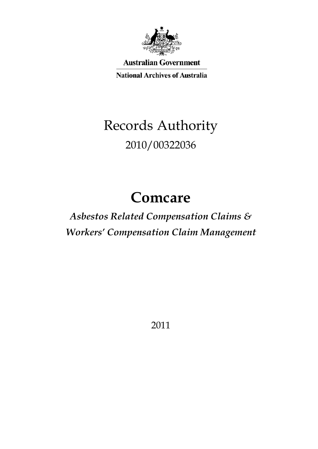

**Australian Government** 

**National Archives of Australia** 

# Records Authority 2010/00322036

# **Comcare**

## *Asbestos Related Compensation Claims & Workers' Compensation Claim Management*

2011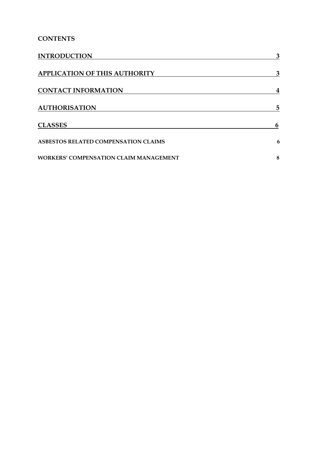### **CONTENTS**

| <b>INTRODUCTION</b>                           | 3 |
|-----------------------------------------------|---|
| <b>APPLICATION OF THIS AUTHORITY</b>          | 3 |
| <b>CONTACT INFORMATION</b>                    | 4 |
| <b>AUTHORISATION</b>                          | 5 |
| <b>CLASSES</b>                                | 6 |
| ASBESTOS RELATED COMPENSATION CLAIMS          | 6 |
| <b>WORKERS' COMPENSATION CLAIM MANAGEMENT</b> | 8 |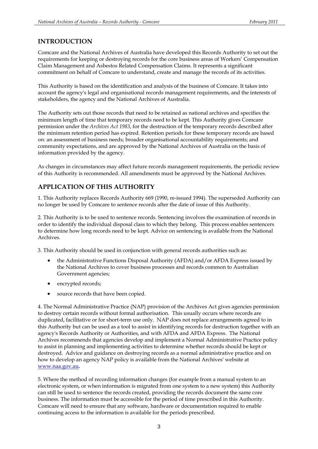### <span id="page-2-0"></span>**INTRODUCTION**

 Comcare and the National Archives of Australia have developed this Records Authority to set out the requirements for keeping or destroying records for the core business areas of Workers' Compensation Claim Management and Asbestos Related Compensation Claims. It represents a significant commitment on behalf of Comcare to understand, create and manage the records of its activities.

 This Authority is based on the identification and analysis of the business of Comcare. It takes into account the agency's legal and organisational records management requirements, and the interests of stakeholders, the agency and the National Archives of Australia.

 The Authority sets out those records that need to be retained as national archives and specifies the minimum length of time that temporary records need to be kept. This Authority gives Comcare permission under the *Archives Act 1983*, for the destruction of the temporary records described after the minimum retention period has expired. Retention periods for these temporary records are based on: an assessment of business needs; broader organisational accountability requirements; and community expectations, and are approved by the National Archives of Australia on the basis of information provided by the agency.

information provided by the agency.<br>As changes in circumstances may affect future records management requirements, the periodic review of this Authority is recommended. All amendments must be approved by the National Archives.

### <span id="page-2-1"></span>**APPLICATION OF THIS AUTHORITY**

 1. This Authority replaces Records Authority 669 (1990, re-issued 1994). The superseded Authority can no longer be used by Comcare to sentence records after the date of issue of this Authority.

 2. This Authority is to be used to sentence records. Sentencing involves the examination of records in order to identify the individual disposal class to which they belong. This process enables sentencers to determine how long records need to be kept. Advice on sentencing is available from the National Archives.

3. This Authority should be used in conjunction with general records authorities such as:

- the Administrative Functions Disposal Authority (AFDA) and/or AFDA Express issued by the National Archives to cover business processes and records common to Australian Government agencies;
- encrypted records;
- • source records that have been copied.

 4. The Normal Administrative Practice (NAP) provision of the Archives Act gives agencies permission to destroy certain records without formal authorisation. This usually occurs where records are duplicated, facilitative or for short-term use only. NAP does not replace arrangements agreed to in this Authority but can be used as a tool to assist in identifying records for destruction together with an agency's Records Authority or Authorities, and with AFDA and AFDA Express. The National Archives recommends that agencies develop and implement a Normal Administrative Practice policy to assist in planning and implementing activities to determine whether records should be kept or destroyed. Advice and guidance on destroying records as a normal administrative practice and on how to develop an agency NAP policy is available from the National Archives' website at [www.naa.gov.au](http://www.naa.gov.au/)**.** 

 5. Where the method of recording information changes (for example from a manual system to an electronic system, or when information is migrated from one system to a new system) this Authority can still be used to sentence the records created, providing the records document the same core business. The information must be accessible for the period of time prescribed in this Authority. Comcare will need to ensure that any software, hardware or documentation required to enable continuing access to the information is available for the periods prescribed.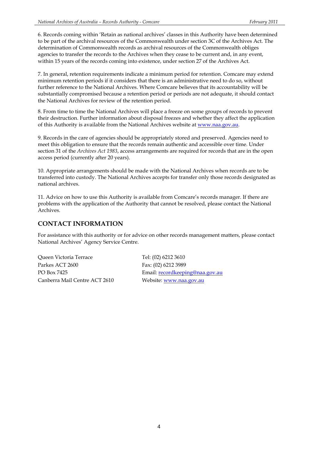6. Records coming within 'Retain as national archives' classes in this Authority have been determined to be part of the archival resources of the Commonwealth under section 3C of the Archives Act. The determination of Commonwealth records as archival resources of the Commonwealth obliges agencies to transfer the records to the Archives when they cease to be current and, in any event, within 15 years of the records coming into existence, under section 27 of the Archives Act.

 7. In general, retention requirements indicate a minimum period for retention. Comcare may extend minimum retention periods if it considers that there is an administrative need to do so, without further reference to the National Archives. Where Comcare believes that its accountability will be substantially compromised because a retention period or periods are not adequate, it should contact the National Archives for review of the retention period.

 8. From time to time the National Archives will place a freeze on some groups of records to prevent their destruction. Further information about disposal freezes and whether they affect the application of this Authority is available from the National Archives website at [www.naa.gov.au.](http://www.naa.gov.au/)

 9. Records in the care of agencies should be appropriately stored and preserved. Agencies need to meet this obligation to ensure that the records remain authentic and accessible over time. Under section 31 of the *Archives Act 1983*, access arrangements are required for records that are in the open access period (currently after 20 years).

 10. Appropriate arrangements should be made with the National Archives when records are to be transferred into custody. The National Archives accepts for transfer only those records designated as national archives.

 11. Advice on how to use this Authority is available from Comcare's records manager. If there are problems with the application of the Authority that cannot be resolved, please contact the National Archives.

### <span id="page-3-0"></span>**CONTACT INFORMATION**

 For assistance with this authority or for advice on other records management matters, please contact National Archives' Agency Service Centre.

Parkes ACT 2600 Fax: (02) 6212 3989 PO Box 7425 Canberra Mail Centre ACT 2610 Website: www.naa.gov.au Queen Victoria Terrace

Tel: (02) 6212 3610 Email: recordkeeping@naa.gov.au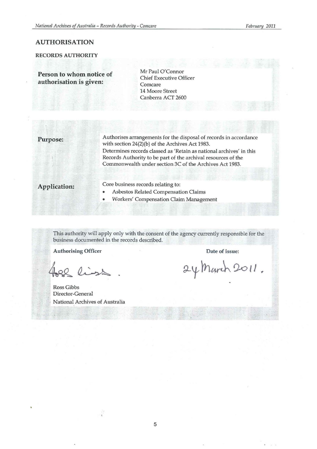#### <span id="page-4-0"></span>AUTHORISATION

### RECORDS AUTHORITY

Person to whom notice of authorisation is given:

Mr Paul O'Connor Chief Executive Officer Comcare 14 Moore Street Canberra ACT 2600

**Purpose:** Authorises arrangements for the disposal of records in accordance with section 24(2)(b) of the Archives Act 1983. Determines records classed as 'Retain as national archives' in this Records Authority to be part of the archival resources of the Commonwealth under section 3C of the Archives Act 1983.

Application: Core business records relating to:

- Asbestos Related Compensation Claims
- Workers' Compensation Claim Management

This authority will apply only with the consent of the agency currently responsible for the business documented in the records described.

Authorising Officer **Date of issue:** Date of issue:

22 list

Ross Gibbs Director-General National Archives of Australia

24 March 2011.

5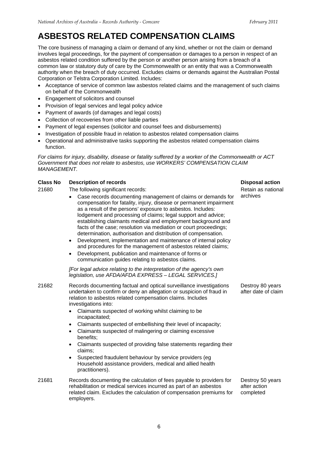## <span id="page-5-0"></span>**ASBESTOS RELATED COMPENSATION CLAIMS**

 The core business of managing a claim or demand of any kind, whether or not the claim or demand involves legal proceedings, for the payment of compensation or damages to a person in respect of an asbestos related condition suffered by the person or another person arising from a breach of a common law or statutory duty of care by the Commonwealth or an entity that was a Commonwealth authority when the breach of duty occurred. Excludes claims or demands against the Australian Postal Corporation or Telstra Corporation Limited. Includes:

- • Acceptance of service of common law asbestos related claims and the management of such claims on behalf of the Commonwealth
- • Engagement of solicitors and counsel
- • Provision of legal services and legal policy advice
- Payment of awards (of damages and legal costs)
- • Collection of recoveries from other liable parties
- Payment of legal expenses (solicitor and counsel fees and disbursements)
- Investigation of possible fraud in relation to asbestos related compensation claims
- Operational and administrative tasks supporting the asbestos related compensation claims function.

 *For claims for injury, disability, disease or fatality suffered by a worker of the Commonwealth or ACT Government that does not relate to asbestos, use WORKERS' COMPENSATION CLAIM MANAGEMENT.* 

#### 21680 The following significant records: Retain as national Retain as national • Case records documenting management of claims or demands for archives compensation for fatality, injury, disease or permanent impairment as a result of the persons' exposure to asbestos. Includes: lodgement and processing of claims; legal support and advice; establishing claimants medical and employment background and facts of the case; resolution via mediation or court proceedings; • Development, implementation and maintenance of internal policy and procedures for the management of asbestos related claims; • Development, publication and maintenance of forms or  *[For legal advice relating to the interpretation of the agency's own legislation, use AFDA/AFDA EXPRESS – LEGAL SERVICES.]*  Retain as national 21682 • Records documenting factual and optical surveillance investigations • Destroy 80 years undertaken to confirm or deny an allegation or suspicion of fraud in after date of claim • Claimants suspected of embellishing their level of incapacity; • Suspected fraudulent behaviour by service providers (eg Household assistance providers, medical and allied health Destroy 80 years after date of claim 21681 Records documenting the calculation of fees payable to providers for Destroy 50 years rehabilitation or medical services incurred as part of an asbestos after action related claim. Excludes the calculation of compensation premiums for completed Destroy 50 years **Class No** Description of records Disposal action **Disposal action** determination, authorisation and distribution of compensation. communication guides relating to asbestos claims. relation to asbestos related compensation claims. Includes investigations into: Claimants suspected of working whilst claiming to be incapacitated; Claimants suspected of malingering or claiming excessive benefits; Claimants suspected of providing false statements regarding their claims; practitioners). employers.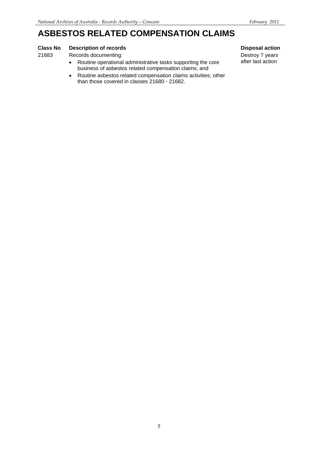### **ASBESTOS RELATED COMPENSATION CLAIMS**

### **Class No Description of records Disposal action Disposal action**

21683 Records documenting:

- business of asbestos related compensation claims; and • Routine operational administrative tasks supporting the core
- than those covered in classes 21680 21682. • Routine asbestos related compensation claims activities, other

Destroy 7 years after last action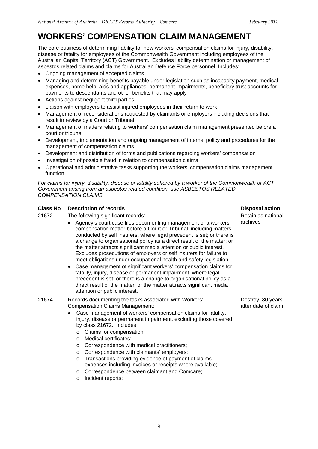#### <span id="page-7-0"></span> **WORKERS' COMPENSATION CLAIM MANAGEMENT**

 The core business of determining liability for new workers' compensation claims for injury, disability, disease or fatality for employees of the Commonwealth Government including employees of the Australian Capital Territory (ACT) Government. Excludes liability determination or management of asbestos related claims and claims for Australian Defence Force personnel. Includes:

- • Ongoing management of accepted claims
- • Managing and determining benefits payable under legislation such as incapacity payment, medical expenses, home help, aids and appliances, permanent impairments, beneficiary trust accounts for payments to descendants and other benefits that may apply
- Actions against negligent third parties
- Liaison with employers to assist injured employees in their return to work
- • Management of reconsiderations requested by claimants or employers including decisions that result in review by a Court or Tribunal
- Management of matters relating to workers' compensation claim management presented before a court or tribunal
- • Development, implementation and ongoing management of internal policy and procedures for the management of compensation claims
- • Development and distribution of forms and publications regarding workers' compensation
- Investigation of possible fraud in relation to compensation claims
- Operational and administrative tasks supporting the workers' compensation claims management function.

 *For claims for injury, disability, disease or fatality suffered by a worker of the Commonwealth or ACT Government arising from an asbestos related condition, use ASBESTOS RELATED COMPENSATION CLAIMS.* 

### **Class No** Description of records Disposal action **Disposal action Disposal action**

21672 The following significant records: Retain as national as national

- Agency's court case files documenting management of a workers' archives compensation matter before a Court or Tribunal, including matters conducted by self insurers, where legal precedent is set; or there is a change to organisational policy as a direct result of the matter; or the matter attracts significant media attention or public interest. Excludes prosecutions of employers or self insurers for failure to meet obligations under occupational health and safety legislation.
- • Case management of significant workers' compensation claims for fatality, injury, disease or permanent impairment, where legal precedent is set; or there is a change to organisational policy as a direct result of the matter; or the matter attracts significant media attention or public interest.

21674 Records documenting the tasks associated with Workers' Compensation Claims Management:

- • Case management of workers' compensation claims for fatality, injury, disease or permanent impairment, excluding those covered by class 21672. Includes:
	- o **Claims for compensation;**
	- o Medical certificates;
	- o Correspondence with medical practitioners;
	- o Correspondence with claimants' employers;
	- o Transactions providing evidence of payment of claims expenses including invoices or receipts where available;
	- o Correspondence between claimant and Comcare;
	- o Incident reports;

Destroy 80 years after date of claim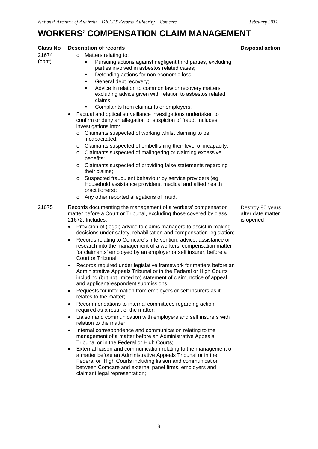## WORKERS' COMPENSATION CLAIM MANAGEMENT

| UMI LIVUATIVIV U                   |                                                                                                                                                                                                                                                                                                                                                                                                                                                                                                                                                                                                                                                                                                                                                                                                                                                                                                                                                                                                                                                                                                                                                                                                                                                                                                                                                                                                                                                                                                                                                                                 |                                                    |  |
|------------------------------------|---------------------------------------------------------------------------------------------------------------------------------------------------------------------------------------------------------------------------------------------------------------------------------------------------------------------------------------------------------------------------------------------------------------------------------------------------------------------------------------------------------------------------------------------------------------------------------------------------------------------------------------------------------------------------------------------------------------------------------------------------------------------------------------------------------------------------------------------------------------------------------------------------------------------------------------------------------------------------------------------------------------------------------------------------------------------------------------------------------------------------------------------------------------------------------------------------------------------------------------------------------------------------------------------------------------------------------------------------------------------------------------------------------------------------------------------------------------------------------------------------------------------------------------------------------------------------------|----------------------------------------------------|--|
| <b>Class No</b><br>21674<br>(cont) | <b>Description of records</b><br>Matters relating to:<br>$\circ$<br>Pursuing actions against negligent third parties, excluding<br>٠<br>parties involved in asbestos related cases;<br>Defending actions for non economic loss;<br>٠<br>General debt recovery;<br>٠<br>Advice in relation to common law or recovery matters<br>٠<br>excluding advice given with relation to asbestos related<br>claims;<br>Complaints from claimants or employers.<br>Factual and optical surveillance investigations undertaken to<br>$\bullet$<br>confirm or deny an allegation or suspicion of fraud. Includes<br>investigations into:<br>Claimants suspected of working whilst claiming to be<br>$\circ$<br>incapacitated;<br>Claimants suspected of embellishing their level of incapacity;<br>$\circ$<br>Claimants suspected of malingering or claiming excessive<br>$\circ$<br>benefits;<br>Claimants suspected of providing false statements regarding<br>$\circ$<br>their claims;<br>Suspected fraudulent behaviour by service providers (eg<br>$\circ$<br>Household assistance providers, medical and allied health<br>practitioners);<br>Any other reported allegations of fraud.<br>$\circ$                                                                                                                                                                                                                                                                                                                                                                                         | <b>Disposal action</b>                             |  |
| 21675                              | Records documenting the management of a workers' compensation<br>matter before a Court or Tribunal, excluding those covered by class<br>21672. Includes:<br>Provision of (legal) advice to claims managers to assist in making<br>decisions under safety, rehabilitation and compensation legislation;<br>Records relating to Comcare's intervention, advice, assistance or<br>research into the management of a workers' compensation matter<br>for claimants' employed by an employer or self insurer, before a<br>Court or Tribunal:<br>Records required under legislative framework for matters before an<br>Administrative Appeals Tribunal or in the Federal or High Courts<br>including (but not limited to) statement of claim, notice of appeal<br>and applicant/respondent submissions;<br>Requests for information from employers or self insurers as it<br>relates to the matter;<br>Recommendations to internal committees regarding action<br>required as a result of the matter;<br>Liaison and communication with employers and self insurers with<br>relation to the matter;<br>Internal correspondence and communication relating to the<br>$\bullet$<br>management of a matter before an Administrative Appeals<br>Tribunal or in the Federal or High Courts;<br>External liaison and communication relating to the management of<br>a matter before an Administrative Appeals Tribunal or in the<br>Federal or High Courts including liaison and communication<br>between Comcare and external panel firms, employers and<br>claimant legal representation; | Destroy 80 years<br>after date matter<br>is opened |  |

9